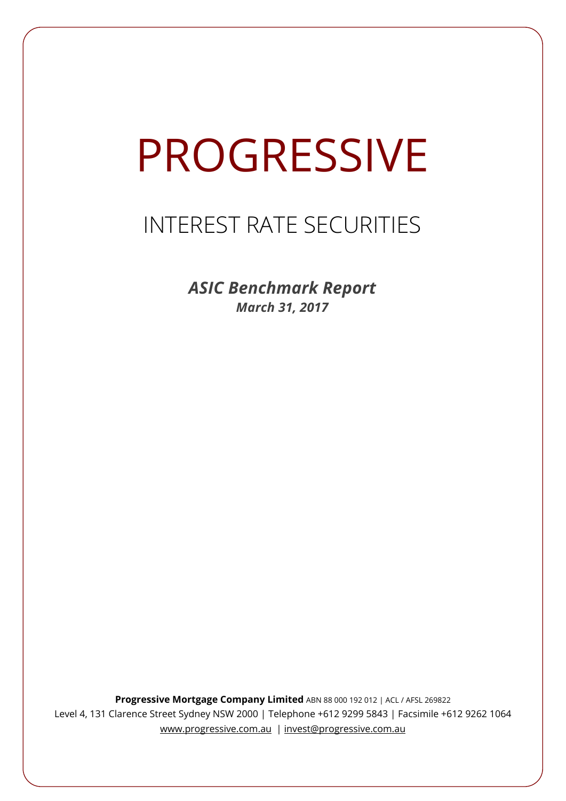# PROGRESSIVE

# INTEREST RATE SECURITIES

*ASIC Benchmark Report March 31, 2017*

**Progressive Mortgage Company Limited** ABN 88 000 192 012 | ACL / AFSL 269822 Level 4, 131 Clarence Street Sydney NSW 2000 | Telephone +612 9299 5843 | Facsimile +612 9262 1064 www.progressive.com.au | invest@progressive.com.au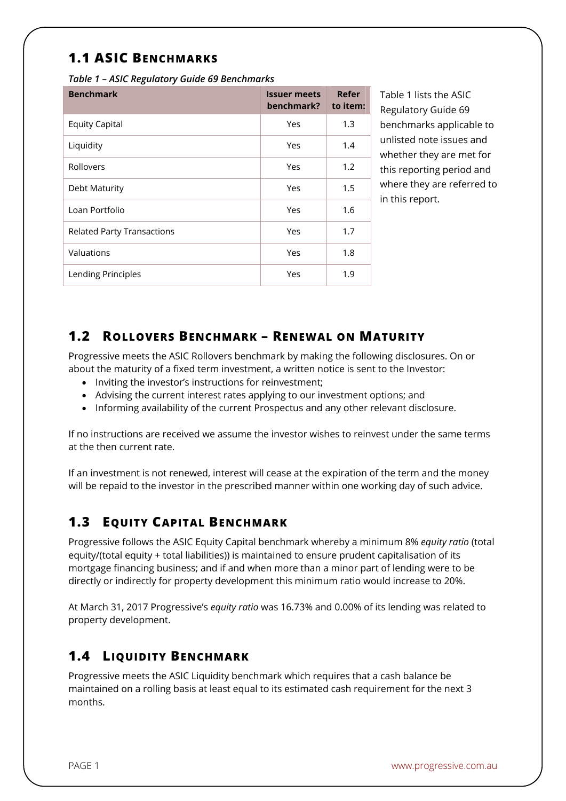# **1.1 ASIC BENCHMARKS**

*Table 1 – ASIC Regulatory Guide 69 Benchmarks* 

| <b>Benchmark</b>                  | <b>Issuer meets</b><br>benchmark? | Refer<br>to item: |
|-----------------------------------|-----------------------------------|-------------------|
| <b>Equity Capital</b>             | Yes                               | 1.3               |
| Liquidity                         | Yes                               | 1.4               |
| Rollovers                         | Yes                               | 1.2               |
| Debt Maturity                     | Yes                               | 1.5               |
| Loan Portfolio                    | Yes                               | 1.6               |
| <b>Related Party Transactions</b> | Yes                               | 1.7               |
| Valuations                        | Yes                               | 1.8               |
| Lending Principles                | Yes                               | 1.9               |

Table 1 lists the ASIC Regulatory Guide 69 benchmarks applicable to unlisted note issues and whether they are met for this reporting period and where they are referred to in this report.

#### **1.2 ROLLOVERS BENCHMARK – RENEWAL ON MATURITY**

Progressive meets the ASIC Rollovers benchmark by making the following disclosures. On or about the maturity of a fixed term investment, a written notice is sent to the Investor:

- Inviting the investor's instructions for reinvestment;
- Advising the current interest rates applying to our investment options; and
- Informing availability of the current Prospectus and any other relevant disclosure.

If no instructions are received we assume the investor wishes to reinvest under the same terms at the then current rate.

If an investment is not renewed, interest will cease at the expiration of the term and the money will be repaid to the investor in the prescribed manner within one working day of such advice.

## **1.3 EQUITY CAPITAL BENCHMARK**

Progressive follows the ASIC Equity Capital benchmark whereby a minimum 8% *equity ratio* (total equity/(total equity + total liabilities)) is maintained to ensure prudent capitalisation of its mortgage financing business; and if and when more than a minor part of lending were to be directly or indirectly for property development this minimum ratio would increase to 20%.

At March 31, 2017 Progressive's *equity ratio* was 16.73% and 0.00% of its lending was related to property development.

## **1.4 LIQUIDITY BENCHMARK**

Progressive meets the ASIC Liquidity benchmark which requires that a cash balance be maintained on a rolling basis at least equal to its estimated cash requirement for the next 3 months.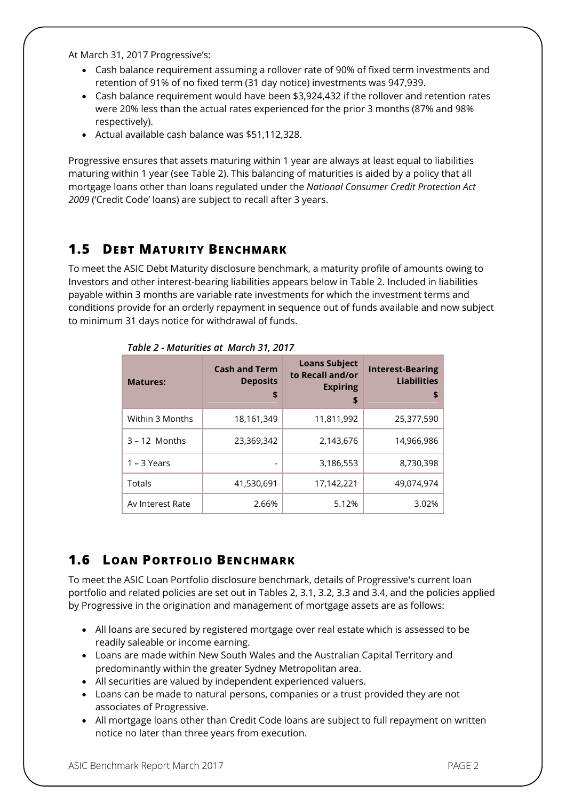At March 31, 2017 Progressive's:

- Cash balance requirement assuming a rollover rate of 90% of fixed term investments and retention of 91% of no fixed term (31 day notice) investments was 947,939.
- Cash balance requirement would have been \$3,924,432 if the rollover and retention rates were 20% less than the actual rates experienced for the prior 3 months (87% and 98% respectively).
- Actual available cash balance was \$51,112,328.

Progressive ensures that assets maturing within 1 year are always at least equal to liabilities maturing within 1 year (see Table 2). This balancing of maturities is aided by a policy that all mortgage loans other than loans regulated under the *National Consumer Credit Protection Act 2009* ('Credit Code' loans) are subject to recall after 3 years.

## **1.5 DEBT MATURITY BENCHMARK**

To meet the ASIC Debt Maturity disclosure benchmark, a maturity profile of amounts owing to Investors and other interest-bearing liabilities appears below in Table 2. Included in liabilities payable within 3 months are variable rate investments for which the investment terms and conditions provide for an orderly repayment in sequence out of funds available and now subject to minimum 31 days notice for withdrawal of funds.

| <b>Matures:</b>  | <b>Cash and Term</b><br><b>Deposits</b><br>\$ | <b>Loans Subject</b><br>to Recall and/or<br><b>Expiring</b><br>\$ | <b>Interest-Bearing</b><br><b>Liabilities</b><br>\$ |
|------------------|-----------------------------------------------|-------------------------------------------------------------------|-----------------------------------------------------|
| Within 3 Months  | 18,161,349                                    | 11,811,992                                                        | 25,377,590                                          |
| $3 - 12$ Months  | 23,369,342                                    | 2,143,676                                                         | 14,966,986                                          |
| $1 - 3$ Years    |                                               | 3,186,553                                                         | 8,730,398                                           |
| Totals           | 41,530,691                                    | 17,142,221                                                        | 49.074.974                                          |
| Av Interest Rate | 2.66%                                         | 5.12%                                                             | 3.02%                                               |

*Table 2 - Maturities at March 31, 2017*

## **1.6 LOAN PORTFOLIO BENCHMARK**

To meet the ASIC Loan Portfolio disclosure benchmark, details of Progressive's current loan portfolio and related policies are set out in Tables 2, 3.1, 3.2, 3.3 and 3.4, and the policies applied by Progressive in the origination and management of mortgage assets are as follows:

- All loans are secured by registered mortgage over real estate which is assessed to be readily saleable or income earning.
- Loans are made within New South Wales and the Australian Capital Territory and predominantly within the greater Sydney Metropolitan area.
- All securities are valued by independent experienced valuers.
- Loans can be made to natural persons, companies or a trust provided they are not associates of Progressive.
- All mortgage loans other than Credit Code loans are subject to full repayment on written notice no later than three years from execution.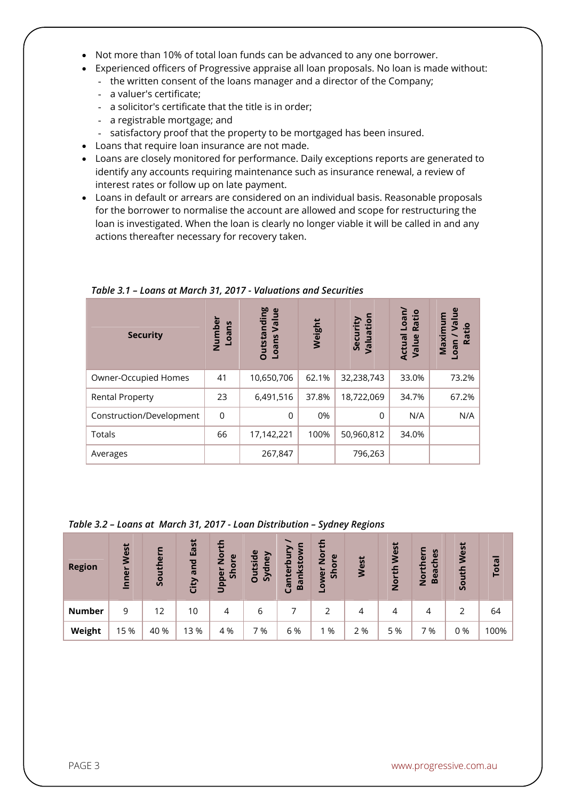- Not more than 10% of total loan funds can be advanced to any one borrower.
- Experienced officers of Progressive appraise all loan proposals. No loan is made without:
	- the written consent of the loans manager and a director of the Company;
	- a valuer's certificate;
	- a solicitor's certificate that the title is in order;
	- a registrable mortgage; and
	- satisfactory proof that the property to be mortgaged has been insured.
- Loans that require loan insurance are not made.
- Loans are closely monitored for performance. Daily exceptions reports are generated to identify any accounts requiring maintenance such as insurance renewal, a review of interest rates or follow up on late payment.
- Loans in default or arrears are considered on an individual basis. Reasonable proposals for the borrower to normalise the account are allowed and scope for restructuring the loan is investigated. When the loan is clearly no longer viable it will be called in and any actions thereafter necessary for recovery taken.

| <b>Security</b>          | Numbei<br>Loans | <b>Outstanding</b><br>Value<br>Loans | Weight | Valuation<br>Security | Loan/<br>Ratio<br>Actual<br>Value | $e$<br>Ε<br>Maximu<br>厄<br>Ratio<br>neon |
|--------------------------|-----------------|--------------------------------------|--------|-----------------------|-----------------------------------|------------------------------------------|
| Owner-Occupied Homes     | 41              | 10,650,706                           | 62.1%  | 32,238,743            | 33.0%                             | 73.2%                                    |
| <b>Rental Property</b>   | 23              | 6,491,516                            | 37.8%  | 18,722,069            | 34.7%                             | 67.2%                                    |
| Construction/Development | 0               | $\Omega$                             | 0%     | $\Omega$              | N/A                               | N/A                                      |
| Totals                   | 66              | 17,142,221                           | 100%   | 50,960,812            | 34.0%                             |                                          |
| Averages                 |                 | 267,847                              |        | 796,263               |                                   |                                          |

*Table 3.1 – Loans at March 31, 2017 - Valuations and Securities*

#### *Table 3.2 – Loans at March 31, 2017 - Loan Distribution – Sydney Regions*

| <b>Region</b> | West<br>Inner | Southern | East<br>and<br>City | ≖<br>ō<br>$\omega$<br>Ž<br>Shor<br>Upper | <b>Outside</b><br>dney<br>$\overline{\mathcal{S}}$ | S<br>nkstow<br>nterbi<br>$\overline{a}$<br>ී | 둡<br>$\frac{5}{2}$<br>$\omega$<br>ā<br>န္တ<br>owe | West | West<br>North | မိ<br>۹<br>Ē<br>ပ<br>Б<br>ēā<br><u>ۃ</u><br>$\mathbf{m}$ | West<br>South | Total |
|---------------|---------------|----------|---------------------|------------------------------------------|----------------------------------------------------|----------------------------------------------|---------------------------------------------------|------|---------------|----------------------------------------------------------|---------------|-------|
| <b>Number</b> | 9             | 12       | 10                  | 4                                        | 6                                                  |                                              |                                                   | 4    | 4             | 4                                                        |               | 64    |
| Weight        | 15 %          | 40 %     | 13 %                | 4 %                                      | 7 %                                                | 6 %                                          | 1 %                                               | 2 %  | 5 %           | 7 %                                                      | 0%            | 100%  |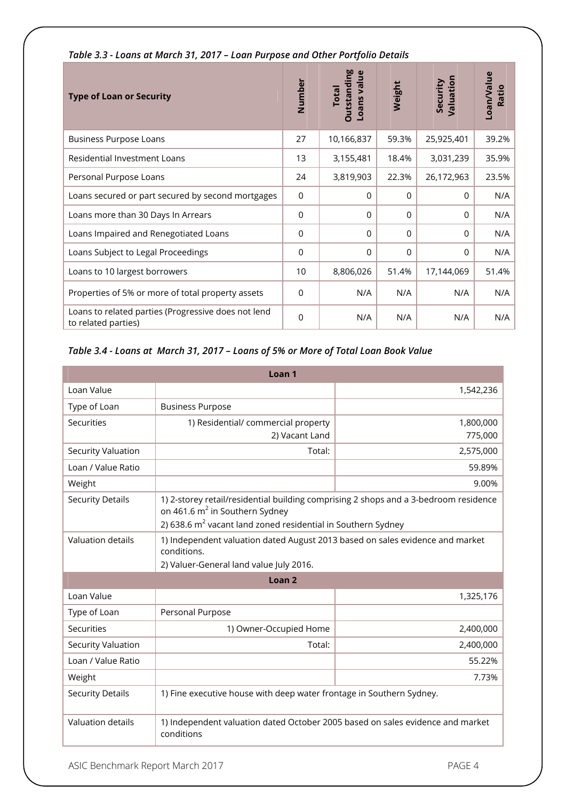| <b>Type of Loan or Security</b>                                            | Number          | <b>Outstanding</b><br>Loans value<br><b>Total</b> | Weight   | Valuation<br>Security | Loan/Value<br>Ratio |
|----------------------------------------------------------------------------|-----------------|---------------------------------------------------|----------|-----------------------|---------------------|
| <b>Business Purpose Loans</b>                                              | 27              | 10,166,837                                        | 59.3%    | 25,925,401            | 39.2%               |
| Residential Investment Loans                                               | 13              | 3,155,481                                         | 18.4%    | 3,031,239             | 35.9%               |
| Personal Purpose Loans                                                     | 24              | 3,819,903                                         | 22.3%    | 26,172,963            | 23.5%               |
| Loans secured or part secured by second mortgages                          | 0               | $\Omega$                                          | $\Omega$ | $\Omega$              | N/A                 |
| Loans more than 30 Days In Arrears                                         | 0               | 0                                                 | $\Omega$ | $\Omega$              | N/A                 |
| Loans Impaired and Renegotiated Loans                                      | 0               | 0                                                 | $\Omega$ | $\Omega$              | N/A                 |
| Loans Subject to Legal Proceedings                                         | $\overline{0}$  | $\mathbf{0}$                                      | $\Omega$ | $\Omega$              | N/A                 |
| Loans to 10 largest borrowers                                              | 10 <sup>1</sup> | 8,806,026                                         | 51.4%    | 17,144,069            | 51.4%               |
| Properties of 5% or more of total property assets                          | 0               | N/A                                               | N/A      | N/A                   | N/A                 |
| Loans to related parties (Progressive does not lend<br>to related parties) | $\Omega$        | N/A                                               | N/A      | N/A                   | N/A                 |

#### *Table 3.3 - Loans at March 31, 2017 – Loan Purpose and Other Portfolio Details*

#### *Table 3.4 - Loans at March 31, 2017 – Loans of 5% or More of Total Loan Book Value*

| Loan <sub>1</sub>       |                                                                                                                                                                                                                |           |  |  |  |  |
|-------------------------|----------------------------------------------------------------------------------------------------------------------------------------------------------------------------------------------------------------|-----------|--|--|--|--|
| Loan Value              |                                                                                                                                                                                                                | 1,542,236 |  |  |  |  |
| Type of Loan            | <b>Business Purpose</b>                                                                                                                                                                                        |           |  |  |  |  |
| Securities              | 1) Residential/ commercial property                                                                                                                                                                            | 1,800,000 |  |  |  |  |
|                         | 2) Vacant Land                                                                                                                                                                                                 | 775,000   |  |  |  |  |
| Security Valuation      | Total:                                                                                                                                                                                                         | 2,575,000 |  |  |  |  |
| Loan / Value Ratio      |                                                                                                                                                                                                                | 59.89%    |  |  |  |  |
| Weight                  |                                                                                                                                                                                                                | 9.00%     |  |  |  |  |
| <b>Security Details</b> | 1) 2-storey retail/residential building comprising 2 shops and a 3-bedroom residence<br>on 461.6 m <sup>2</sup> in Southern Sydney<br>2) 638.6 m <sup>2</sup> vacant land zoned residential in Southern Sydney |           |  |  |  |  |
| Valuation details       | 1) Independent valuation dated August 2013 based on sales evidence and market<br>conditions.<br>2) Valuer-General land value July 2016.                                                                        |           |  |  |  |  |
| Loan <sub>2</sub>       |                                                                                                                                                                                                                |           |  |  |  |  |
| Loan Value              |                                                                                                                                                                                                                | 1,325,176 |  |  |  |  |
| Type of Loan            | Personal Purpose                                                                                                                                                                                               |           |  |  |  |  |
| <b>Securities</b>       | 1) Owner-Occupied Home                                                                                                                                                                                         | 2,400,000 |  |  |  |  |
| Security Valuation      | Total:                                                                                                                                                                                                         | 2,400,000 |  |  |  |  |
| Loan / Value Ratio      |                                                                                                                                                                                                                | 55.22%    |  |  |  |  |
| Weight                  |                                                                                                                                                                                                                | 7.73%     |  |  |  |  |
| <b>Security Details</b> | 1) Fine executive house with deep water frontage in Southern Sydney.                                                                                                                                           |           |  |  |  |  |
| Valuation details       | 1) Independent valuation dated October 2005 based on sales evidence and market<br>conditions                                                                                                                   |           |  |  |  |  |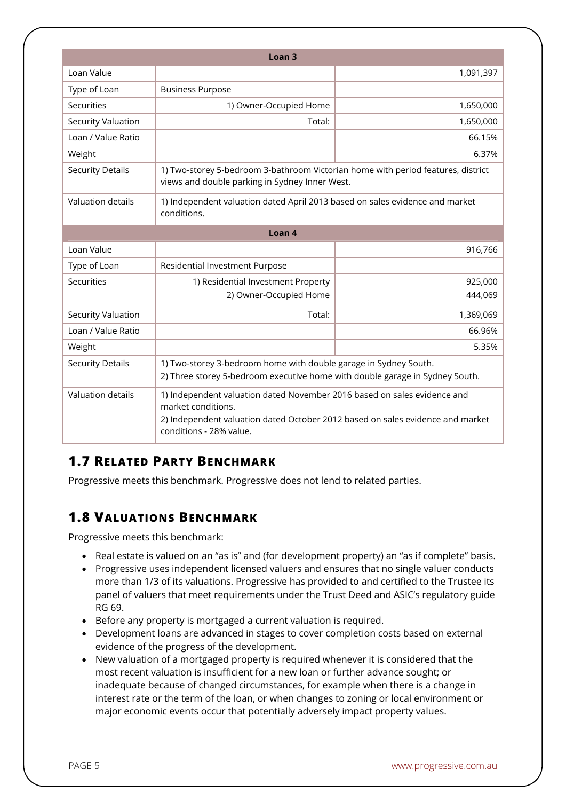|                           | Loan <sub>3</sub>                                                                                                                                                                                           |           |  |  |  |  |
|---------------------------|-------------------------------------------------------------------------------------------------------------------------------------------------------------------------------------------------------------|-----------|--|--|--|--|
| Loan Value                |                                                                                                                                                                                                             | 1,091,397 |  |  |  |  |
| Type of Loan              | <b>Business Purpose</b>                                                                                                                                                                                     |           |  |  |  |  |
| Securities                | 1) Owner-Occupied Home                                                                                                                                                                                      | 1,650,000 |  |  |  |  |
| <b>Security Valuation</b> | Total:                                                                                                                                                                                                      | 1,650,000 |  |  |  |  |
| Loan / Value Ratio        |                                                                                                                                                                                                             | 66.15%    |  |  |  |  |
| Weight                    |                                                                                                                                                                                                             | 6.37%     |  |  |  |  |
| <b>Security Details</b>   | 1) Two-storey 5-bedroom 3-bathroom Victorian home with period features, district<br>views and double parking in Sydney Inner West.                                                                          |           |  |  |  |  |
| Valuation details         | 1) Independent valuation dated April 2013 based on sales evidence and market<br>conditions.                                                                                                                 |           |  |  |  |  |
| Loan <sub>4</sub>         |                                                                                                                                                                                                             |           |  |  |  |  |
| Loan Value                |                                                                                                                                                                                                             | 916,766   |  |  |  |  |
| Type of Loan              | Residential Investment Purpose                                                                                                                                                                              |           |  |  |  |  |
| Securities                | 1) Residential Investment Property                                                                                                                                                                          | 925,000   |  |  |  |  |
|                           | 2) Owner-Occupied Home                                                                                                                                                                                      | 444,069   |  |  |  |  |
| Security Valuation        | Total:                                                                                                                                                                                                      | 1,369,069 |  |  |  |  |
| Loan / Value Ratio        |                                                                                                                                                                                                             | 66.96%    |  |  |  |  |
| Weight                    |                                                                                                                                                                                                             | 5.35%     |  |  |  |  |
| <b>Security Details</b>   | 1) Two-storey 3-bedroom home with double garage in Sydney South.<br>2) Three storey 5-bedroom executive home with double garage in Sydney South.                                                            |           |  |  |  |  |
| <b>Valuation details</b>  | 1) Independent valuation dated November 2016 based on sales evidence and<br>market conditions.<br>2) Independent valuation dated October 2012 based on sales evidence and market<br>conditions - 28% value. |           |  |  |  |  |

#### **1.7 RELATED PARTY BENCHMARK**

Progressive meets this benchmark. Progressive does not lend to related parties.

## **1.8 VALUATIONS BENCHMARK**

Progressive meets this benchmark:

- Real estate is valued on an "as is" and (for development property) an "as if complete" basis.
- Progressive uses independent licensed valuers and ensures that no single valuer conducts more than 1/3 of its valuations. Progressive has provided to and certified to the Trustee its panel of valuers that meet requirements under the Trust Deed and ASIC's regulatory guide RG 69.
- Before any property is mortgaged a current valuation is required.
- Development loans are advanced in stages to cover completion costs based on external evidence of the progress of the development.
- New valuation of a mortgaged property is required whenever it is considered that the most recent valuation is insufficient for a new loan or further advance sought; or inadequate because of changed circumstances, for example when there is a change in interest rate or the term of the loan, or when changes to zoning or local environment or major economic events occur that potentially adversely impact property values.